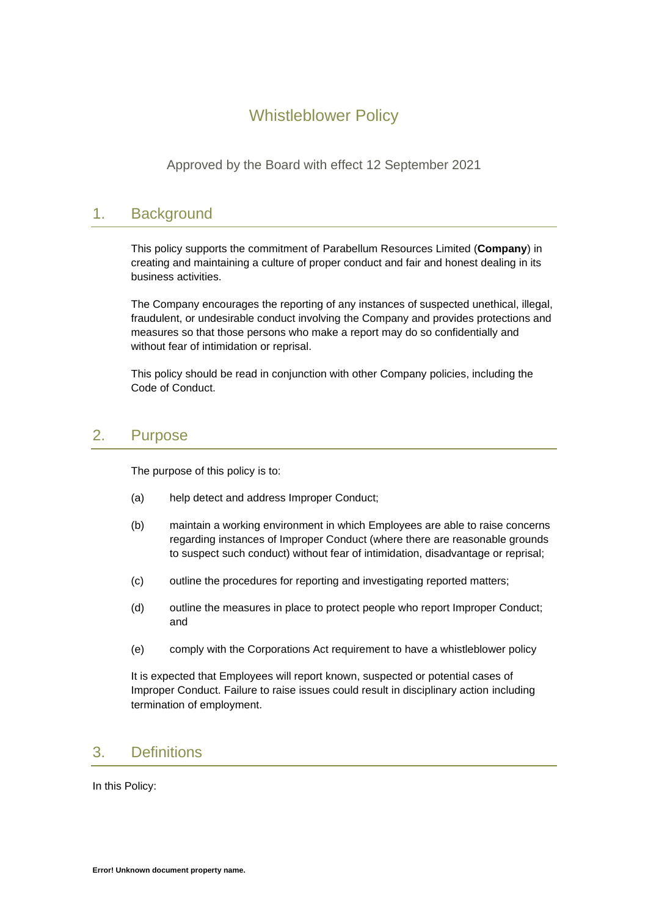# Whistleblower Policy

Approved by the Board with effect 12 September 2021

## 1. Background

This policy supports the commitment of Parabellum Resources Limited (**Company**) in creating and maintaining a culture of proper conduct and fair and honest dealing in its business activities.

The Company encourages the reporting of any instances of suspected unethical, illegal, fraudulent, or undesirable conduct involving the Company and provides protections and measures so that those persons who make a report may do so confidentially and without fear of intimidation or reprisal.

This policy should be read in conjunction with other Company policies, including the Code of Conduct.

### 2. Purpose

The purpose of this policy is to:

- (a) help detect and address Improper Conduct;
- (b) maintain a working environment in which Employees are able to raise concerns regarding instances of Improper Conduct (where there are reasonable grounds to suspect such conduct) without fear of intimidation, disadvantage or reprisal;
- (c) outline the procedures for reporting and investigating reported matters;
- (d) outline the measures in place to protect people who report Improper Conduct; and
- (e) comply with the Corporations Act requirement to have a whistleblower policy

It is expected that Employees will report known, suspected or potential cases of Improper Conduct. Failure to raise issues could result in disciplinary action including termination of employment.

## 3. Definitions

In this Policy: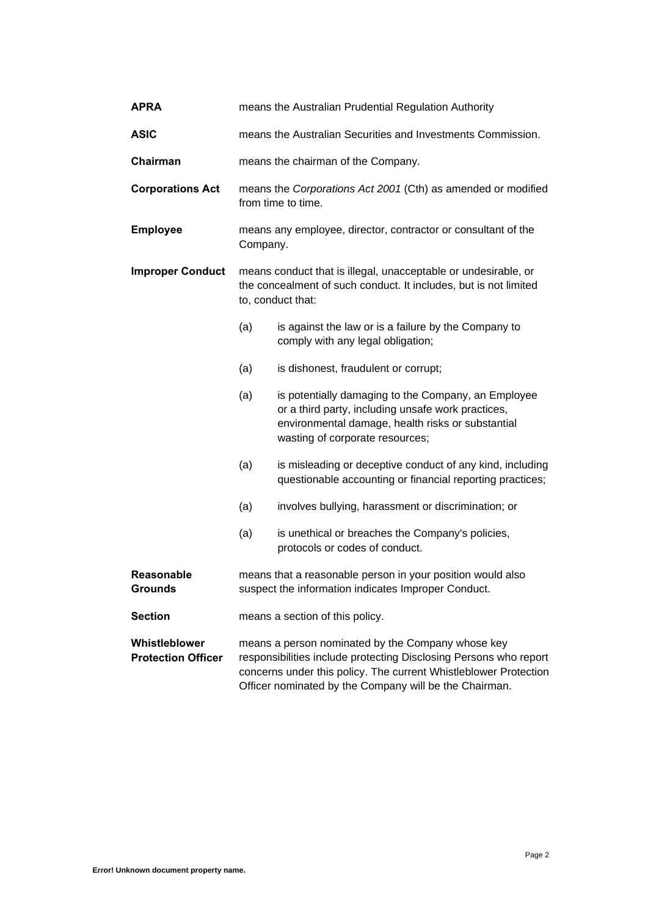| <b>APRA</b>                                | means the Australian Prudential Regulation Authority                                                                                                                                                                                                 |                                                                                                                                                                                                   |
|--------------------------------------------|------------------------------------------------------------------------------------------------------------------------------------------------------------------------------------------------------------------------------------------------------|---------------------------------------------------------------------------------------------------------------------------------------------------------------------------------------------------|
| <b>ASIC</b>                                | means the Australian Securities and Investments Commission.                                                                                                                                                                                          |                                                                                                                                                                                                   |
| Chairman                                   | means the chairman of the Company.                                                                                                                                                                                                                   |                                                                                                                                                                                                   |
| <b>Corporations Act</b>                    | means the Corporations Act 2001 (Cth) as amended or modified<br>from time to time.                                                                                                                                                                   |                                                                                                                                                                                                   |
| <b>Employee</b>                            | means any employee, director, contractor or consultant of the<br>Company.                                                                                                                                                                            |                                                                                                                                                                                                   |
| <b>Improper Conduct</b>                    | means conduct that is illegal, unacceptable or undesirable, or<br>the concealment of such conduct. It includes, but is not limited<br>to, conduct that:                                                                                              |                                                                                                                                                                                                   |
|                                            | (a)                                                                                                                                                                                                                                                  | is against the law or is a failure by the Company to<br>comply with any legal obligation;                                                                                                         |
|                                            | (a)                                                                                                                                                                                                                                                  | is dishonest, fraudulent or corrupt;                                                                                                                                                              |
|                                            | (a)                                                                                                                                                                                                                                                  | is potentially damaging to the Company, an Employee<br>or a third party, including unsafe work practices,<br>environmental damage, health risks or substantial<br>wasting of corporate resources; |
|                                            | (a)                                                                                                                                                                                                                                                  | is misleading or deceptive conduct of any kind, including<br>questionable accounting or financial reporting practices;                                                                            |
|                                            | (a)                                                                                                                                                                                                                                                  | involves bullying, harassment or discrimination; or                                                                                                                                               |
|                                            | (a)                                                                                                                                                                                                                                                  | is unethical or breaches the Company's policies,<br>protocols or codes of conduct.                                                                                                                |
| <b>Reasonable</b><br><b>Grounds</b>        | means that a reasonable person in your position would also<br>suspect the information indicates Improper Conduct.                                                                                                                                    |                                                                                                                                                                                                   |
| <b>Section</b>                             | means a section of this policy.                                                                                                                                                                                                                      |                                                                                                                                                                                                   |
| Whistleblower<br><b>Protection Officer</b> | means a person nominated by the Company whose key<br>responsibilities include protecting Disclosing Persons who report<br>concerns under this policy. The current Whistleblower Protection<br>Officer nominated by the Company will be the Chairman. |                                                                                                                                                                                                   |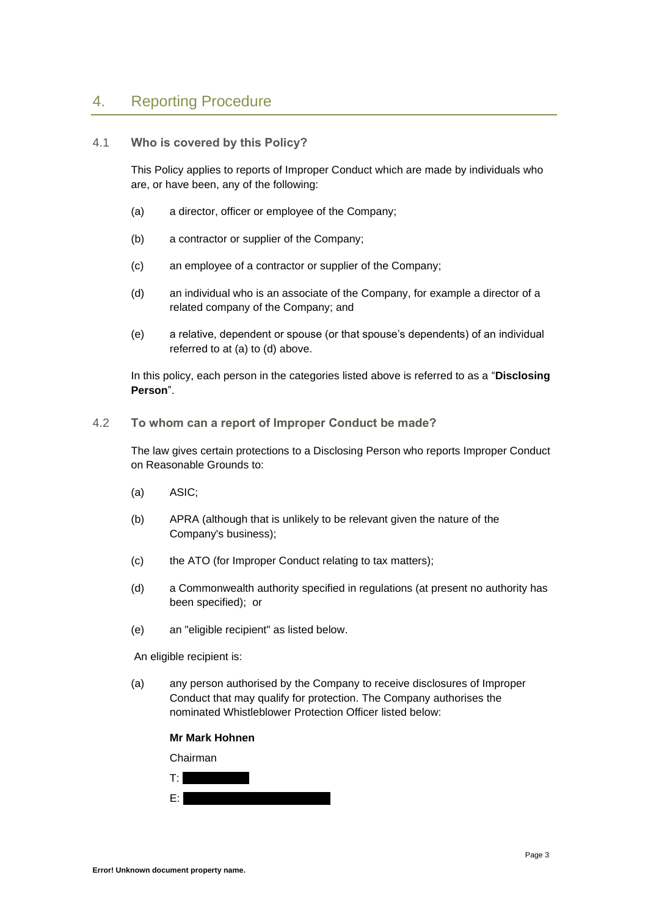## 4. Reporting Procedure

#### 4.1 **Who is covered by this Policy?**

This Policy applies to reports of Improper Conduct which are made by individuals who are, or have been, any of the following:

- (a) a director, officer or employee of the Company;
- (b) a contractor or supplier of the Company;
- (c) an employee of a contractor or supplier of the Company;
- (d) an individual who is an associate of the Company, for example a director of a related company of the Company; and
- (e) a relative, dependent or spouse (or that spouse's dependents) of an individual referred to at (a) to (d) above.

In this policy, each person in the categories listed above is referred to as a "**Disclosing Person**".

4.2 **To whom can a report of Improper Conduct be made?**

The law gives certain protections to a Disclosing Person who reports Improper Conduct on Reasonable Grounds to:

- (a) ASIC;
- (b) APRA (although that is unlikely to be relevant given the nature of the Company's business);
- (c) the ATO (for Improper Conduct relating to tax matters);
- (d) a Commonwealth authority specified in regulations (at present no authority has been specified); or
- (e) an "eligible recipient" as listed below.

An eligible recipient is:

(a) any person authorised by the Company to receive disclosures of Improper Conduct that may qualify for protection. The Company authorises the nominated Whistleblower Protection Officer listed below:

#### **Mr Mark Hohnen**

Chairman

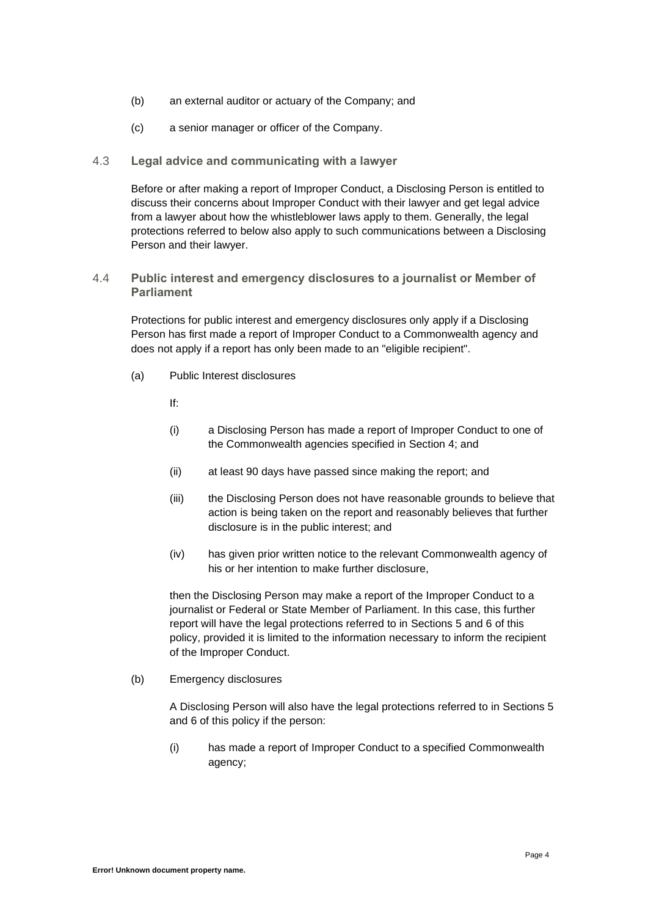- (b) an external auditor or actuary of the Company; and
- (c) a senior manager or officer of the Company.

#### 4.3 **Legal advice and communicating with a lawyer**

Before or after making a report of Improper Conduct, a Disclosing Person is entitled to discuss their concerns about Improper Conduct with their lawyer and get legal advice from a lawyer about how the whistleblower laws apply to them. Generally, the legal protections referred to below also apply to such communications between a Disclosing Person and their lawyer.

4.4 **Public interest and emergency disclosures to a journalist or Member of Parliament**

Protections for public interest and emergency disclosures only apply if a Disclosing Person has first made a report of Improper Conduct to a Commonwealth agency and does not apply if a report has only been made to an "eligible recipient".

- (a) Public Interest disclosures
	- If:
	- (i) a Disclosing Person has made a report of Improper Conduct to one of the Commonwealth agencies specified in Section 4; and
	- (ii) at least 90 days have passed since making the report; and
	- (iii) the Disclosing Person does not have reasonable grounds to believe that action is being taken on the report and reasonably believes that further disclosure is in the public interest; and
	- (iv) has given prior written notice to the relevant Commonwealth agency of his or her intention to make further disclosure,

then the Disclosing Person may make a report of the Improper Conduct to a journalist or Federal or State Member of Parliament. In this case, this further report will have the legal protections referred to in Sections 5 and 6 of this policy, provided it is limited to the information necessary to inform the recipient of the Improper Conduct.

(b) Emergency disclosures

A Disclosing Person will also have the legal protections referred to in Sections 5 and 6 of this policy if the person:

(i) has made a report of Improper Conduct to a specified Commonwealth agency;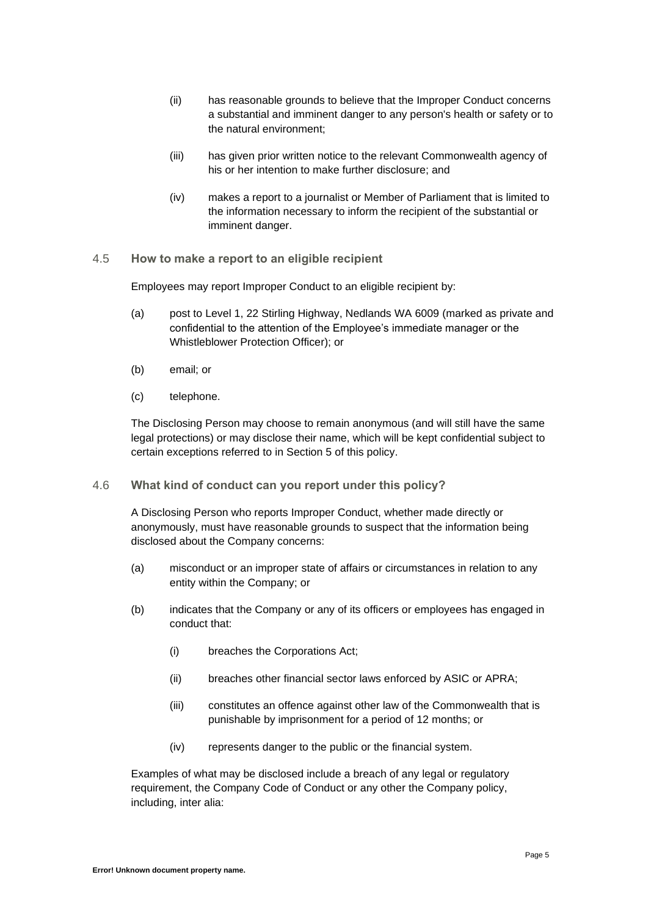- (ii) has reasonable grounds to believe that the Improper Conduct concerns a substantial and imminent danger to any person's health or safety or to the natural environment;
- (iii) has given prior written notice to the relevant Commonwealth agency of his or her intention to make further disclosure; and
- (iv) makes a report to a journalist or Member of Parliament that is limited to the information necessary to inform the recipient of the substantial or imminent danger.
- 4.5 **How to make a report to an eligible recipient**

Employees may report Improper Conduct to an eligible recipient by:

- (a) post to Level 1, 22 Stirling Highway, Nedlands WA 6009 (marked as private and confidential to the attention of the Employee's immediate manager or the Whistleblower Protection Officer); or
- (b) email; or
- (c) telephone.

The Disclosing Person may choose to remain anonymous (and will still have the same legal protections) or may disclose their name, which will be kept confidential subject to certain exceptions referred to in Section 5 of this policy.

4.6 **What kind of conduct can you report under this policy?**

A Disclosing Person who reports Improper Conduct, whether made directly or anonymously, must have reasonable grounds to suspect that the information being disclosed about the Company concerns:

- (a) misconduct or an improper state of affairs or circumstances in relation to any entity within the Company; or
- (b) indicates that the Company or any of its officers or employees has engaged in conduct that:
	- (i) breaches the Corporations Act;
	- (ii) breaches other financial sector laws enforced by ASIC or APRA;
	- (iii) constitutes an offence against other law of the Commonwealth that is punishable by imprisonment for a period of 12 months; or
	- (iv) represents danger to the public or the financial system.

Examples of what may be disclosed include a breach of any legal or regulatory requirement, the Company Code of Conduct or any other the Company policy, including, inter alia: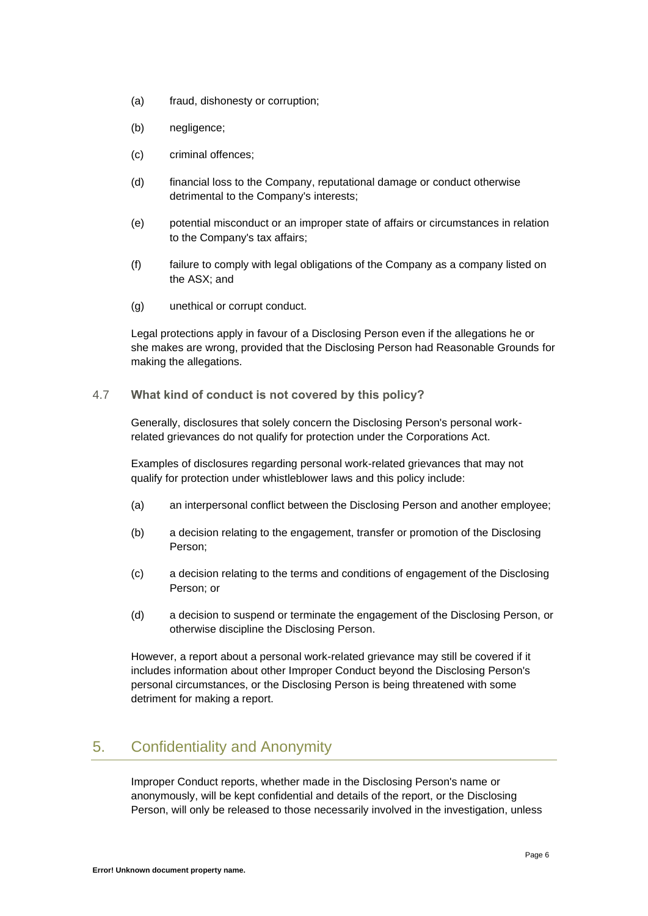- (a) fraud, dishonesty or corruption;
- (b) negligence;
- (c) criminal offences;
- (d) financial loss to the Company, reputational damage or conduct otherwise detrimental to the Company's interests;
- (e) potential misconduct or an improper state of affairs or circumstances in relation to the Company's tax affairs;
- (f) failure to comply with legal obligations of the Company as a company listed on the ASX; and
- (g) unethical or corrupt conduct.

Legal protections apply in favour of a Disclosing Person even if the allegations he or she makes are wrong, provided that the Disclosing Person had Reasonable Grounds for making the allegations.

#### 4.7 **What kind of conduct is not covered by this policy?**

Generally, disclosures that solely concern the Disclosing Person's personal workrelated grievances do not qualify for protection under the Corporations Act.

Examples of disclosures regarding personal work-related grievances that may not qualify for protection under whistleblower laws and this policy include:

- (a) an interpersonal conflict between the Disclosing Person and another employee;
- (b) a decision relating to the engagement, transfer or promotion of the Disclosing Person;
- (c) a decision relating to the terms and conditions of engagement of the Disclosing Person; or
- (d) a decision to suspend or terminate the engagement of the Disclosing Person, or otherwise discipline the Disclosing Person.

However, a report about a personal work-related grievance may still be covered if it includes information about other Improper Conduct beyond the Disclosing Person's personal circumstances, or the Disclosing Person is being threatened with some detriment for making a report.

## 5. Confidentiality and Anonymity

Improper Conduct reports, whether made in the Disclosing Person's name or anonymously, will be kept confidential and details of the report, or the Disclosing Person, will only be released to those necessarily involved in the investigation, unless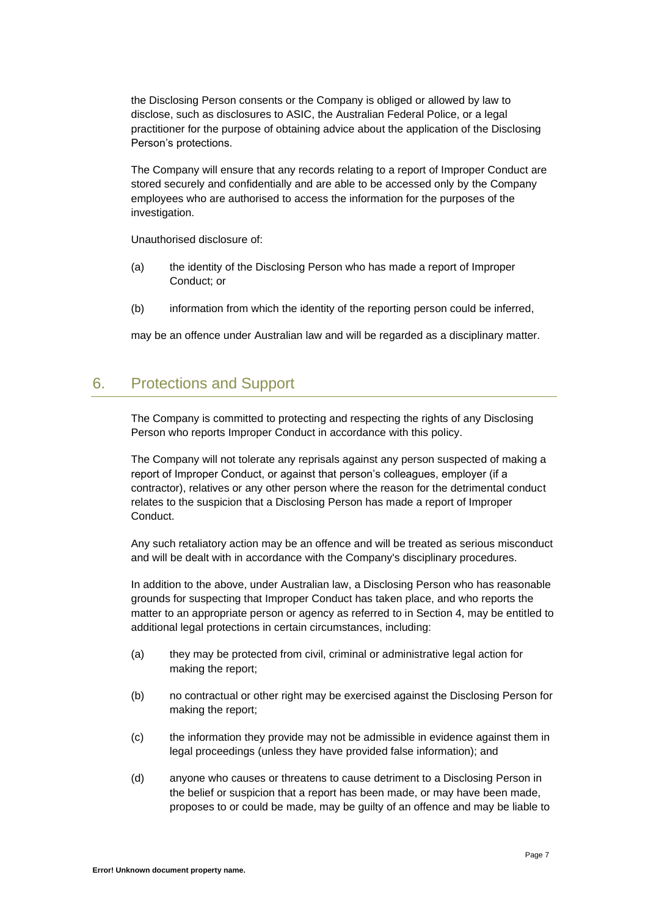the Disclosing Person consents or the Company is obliged or allowed by law to disclose, such as disclosures to ASIC, the Australian Federal Police, or a legal practitioner for the purpose of obtaining advice about the application of the Disclosing Person's protections.

The Company will ensure that any records relating to a report of Improper Conduct are stored securely and confidentially and are able to be accessed only by the Company employees who are authorised to access the information for the purposes of the investigation.

Unauthorised disclosure of:

- (a) the identity of the Disclosing Person who has made a report of Improper Conduct; or
- (b) information from which the identity of the reporting person could be inferred,

may be an offence under Australian law and will be regarded as a disciplinary matter.

## 6. Protections and Support

The Company is committed to protecting and respecting the rights of any Disclosing Person who reports Improper Conduct in accordance with this policy.

The Company will not tolerate any reprisals against any person suspected of making a report of Improper Conduct, or against that person's colleagues, employer (if a contractor), relatives or any other person where the reason for the detrimental conduct relates to the suspicion that a Disclosing Person has made a report of Improper Conduct.

Any such retaliatory action may be an offence and will be treated as serious misconduct and will be dealt with in accordance with the Company's disciplinary procedures.

In addition to the above, under Australian law, a Disclosing Person who has reasonable grounds for suspecting that Improper Conduct has taken place, and who reports the matter to an appropriate person or agency as referred to in Section 4, may be entitled to additional legal protections in certain circumstances, including:

- (a) they may be protected from civil, criminal or administrative legal action for making the report;
- (b) no contractual or other right may be exercised against the Disclosing Person for making the report;
- (c) the information they provide may not be admissible in evidence against them in legal proceedings (unless they have provided false information); and
- (d) anyone who causes or threatens to cause detriment to a Disclosing Person in the belief or suspicion that a report has been made, or may have been made, proposes to or could be made, may be guilty of an offence and may be liable to